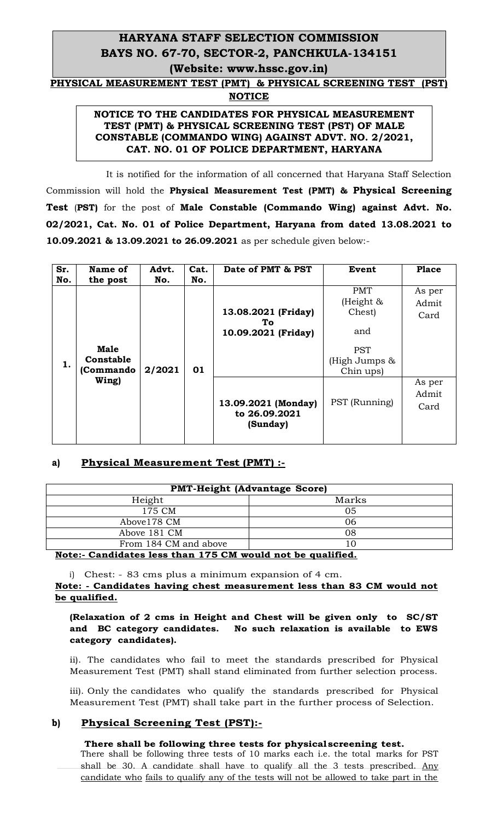# **HARYANA STAFF SELECTION COMMISSION BAYS NO. 67-70, SECTOR-2, PANCHKULA-134151 (Website: www.hssc.gov.in)**

**PHYSICAL MEASUREMENT TEST (PMT) & PHYSICAL SCREENING TEST (PST) NOTICE**

### **NOTICE TO THE CANDIDATES FOR PHYSICAL MEASUREMENT TEST (PMT) & PHYSICAL SCREENING TEST (PST) OF MALE CONSTABLE (COMMANDO WING) AGAINST ADVT. NO. 2/2021, CAT. NO. 01 OF POLICE DEPARTMENT, HARYANA**

 It is notified for the information of all concerned that Haryana Staff Selection Commission will hold the **Physical Measurement Test (PMT) & Physical Screening Test** (**PST)** for the post of **Male Constable (Commando Wing) against Advt. No. 02/2021, Cat. No. 01 of Police Department, Haryana from dated 13.08.2021 to 10.09.2021 & 13.09.2021 to 26.09.2021** as per schedule given below:-

| Sr.<br>No. | Name of<br>the post                   | Advt.<br>No. | Cat.<br>No. | Date of PMT & PST                                | Event                                                                                      | Place                   |
|------------|---------------------------------------|--------------|-------------|--------------------------------------------------|--------------------------------------------------------------------------------------------|-------------------------|
| 1.         | <b>Male</b><br>Constable<br>(Commando | 2/2021       | 01          | 13.08.2021 (Friday)<br>To<br>10.09.2021 (Friday) | <b>PMT</b><br>(Height $\&$<br>Chest)<br>and<br><b>PST</b><br>(High Jumps $\&$<br>Chin ups) | As per<br>Admit<br>Card |
|            | Wing)                                 |              |             | 13.09.2021 (Monday)<br>to 26.09.2021<br>(Sunday) | PST (Running)                                                                              | As per<br>Admit<br>Card |

## **a) Physical Measurement Test (PMT) :-**

| <b>PMT-Height (Advantage Score)</b> |                 |  |  |  |  |  |
|-------------------------------------|-----------------|--|--|--|--|--|
| Height                              | Marks           |  |  |  |  |  |
| 175 CM                              | 05              |  |  |  |  |  |
| Above178 CM                         | 06              |  |  |  |  |  |
| Above 181 CM                        | 08              |  |  |  |  |  |
| From 184 CM and above               | 10              |  |  |  |  |  |
| ------<br>$\sim$<br>-- -            | . .<br>. .<br>. |  |  |  |  |  |

#### **Note:- Candidates less than 175 CM would not be qualified.**

i) Chest: - 83 cms plus a minimum expansion of 4 cm.

**Note: - Candidates having chest measurement less than 83 CM would not be qualified.**

#### **(Relaxation of 2 cms in Height and Chest will be given only to SC/ST and BC category candidates. No such relaxation is available to EWS category candidates).**

ii). The candidates who fail to meet the standards prescribed for Physical Measurement Test (PMT) shall stand eliminated from further selection process.

iii). Only the candidates who qualify the standards prescribed for Physical Measurement Test (PMT) shall take part in the further process of Selection.

## **b) Physical Screening Test (PST):-**

#### **There shall be following three tests for physicalscreening test.**

There shall be following three tests of 10 marks each i.e. the total marks for PST shall be 30. A candidate shall have to qualify all the 3 tests prescribed. Any candidate who fails to qualify any of the tests will not be allowed to take part in the